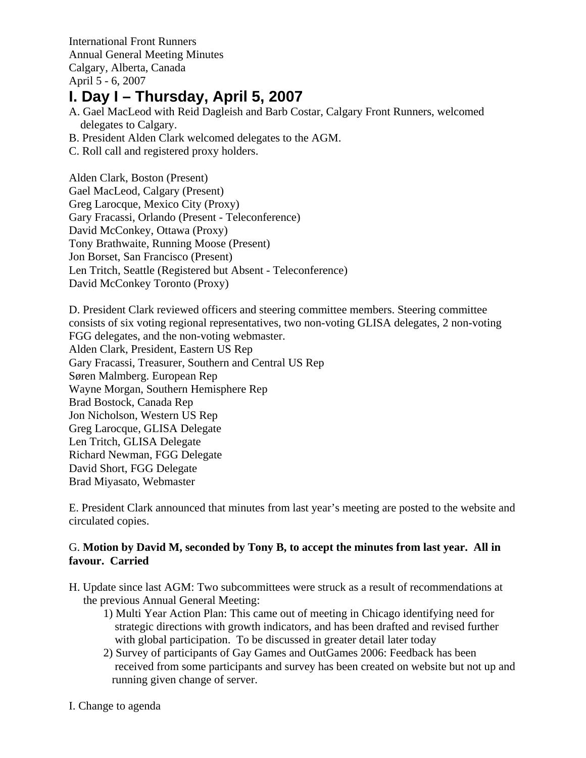International Front Runners Annual General Meeting Minutes Calgary, Alberta, Canada April 5 - 6, 2007

# **I. Day I – Thursday, April 5, 2007**

- A. Gael MacLeod with Reid Dagleish and Barb Costar, Calgary Front Runners, welcomed delegates to Calgary.
- B. President Alden Clark welcomed delegates to the AGM.
- C. Roll call and registered proxy holders.

Alden Clark, Boston (Present) Gael MacLeod, Calgary (Present) Greg Larocque, Mexico City (Proxy) Gary Fracassi, Orlando (Present - Teleconference) David McConkey, Ottawa (Proxy) Tony Brathwaite, Running Moose (Present) Jon Borset, San Francisco (Present) Len Tritch, Seattle (Registered but Absent - Teleconference) David McConkey Toronto (Proxy)

D. President Clark reviewed officers and steering committee members. Steering committee consists of six voting regional representatives, two non-voting GLISA delegates, 2 non-voting FGG delegates, and the non-voting webmaster. Alden Clark, President, Eastern US Rep Gary Fracassi, Treasurer, Southern and Central US Rep Søren Malmberg. European Rep Wayne Morgan, Southern Hemisphere Rep Brad Bostock, Canada Rep Jon Nicholson, Western US Rep Greg Larocque, GLISA Delegate Len Tritch, GLISA Delegate Richard Newman, FGG Delegate David Short, FGG Delegate Brad Miyasato, Webmaster

E. President Clark announced that minutes from last year's meeting are posted to the website and circulated copies.

## G. **Motion by David M, seconded by Tony B, to accept the minutes from last year. All in favour. Carried**

- H. Update since last AGM: Two subcommittees were struck as a result of recommendations at the previous Annual General Meeting:
	- 1) Multi Year Action Plan: This came out of meeting in Chicago identifying need for strategic directions with growth indicators, and has been drafted and revised further with global participation. To be discussed in greater detail later today
	- 2) Survey of participants of Gay Games and OutGames 2006: Feedback has been received from some participants and survey has been created on website but not up and running given change of server.

I. Change to agenda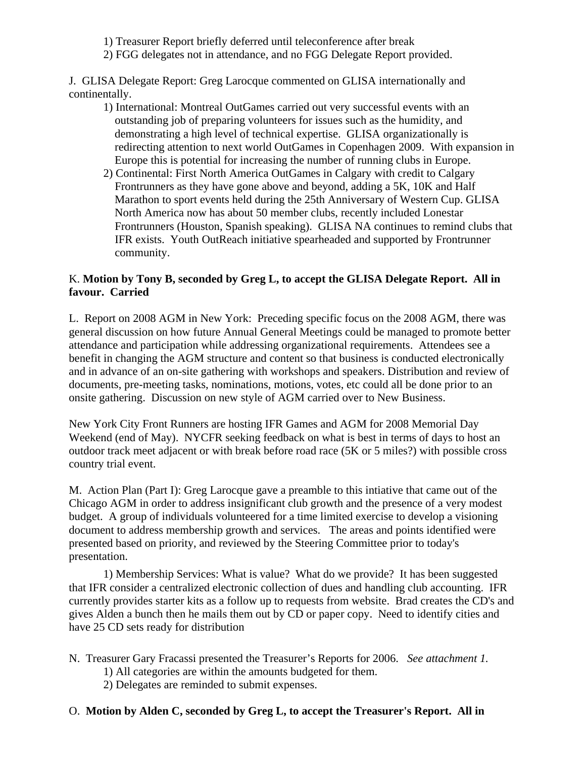- 1) Treasurer Report briefly deferred until teleconference after break
- 2) FGG delegates not in attendance, and no FGG Delegate Report provided.

J. GLISA Delegate Report: Greg Larocque commented on GLISA internationally and continentally.

- 1) International: Montreal OutGames carried out very successful events with an outstanding job of preparing volunteers for issues such as the humidity, and demonstrating a high level of technical expertise. GLISA organizationally is redirecting attention to next world OutGames in Copenhagen 2009. With expansion in Europe this is potential for increasing the number of running clubs in Europe.
- 2) Continental: First North America OutGames in Calgary with credit to Calgary Frontrunners as they have gone above and beyond, adding a 5K, 10K and Half Marathon to sport events held during the 25th Anniversary of Western Cup. GLISA North America now has about 50 member clubs, recently included Lonestar Frontrunners (Houston, Spanish speaking). GLISA NA continues to remind clubs that IFR exists. Youth OutReach initiative spearheaded and supported by Frontrunner community.

### K. **Motion by Tony B, seconded by Greg L, to accept the GLISA Delegate Report. All in favour. Carried**

L. Report on 2008 AGM in New York: Preceding specific focus on the 2008 AGM, there was general discussion on how future Annual General Meetings could be managed to promote better attendance and participation while addressing organizational requirements. Attendees see a benefit in changing the AGM structure and content so that business is conducted electronically and in advance of an on-site gathering with workshops and speakers. Distribution and review of documents, pre-meeting tasks, nominations, motions, votes, etc could all be done prior to an onsite gathering. Discussion on new style of AGM carried over to New Business.

New York City Front Runners are hosting IFR Games and AGM for 2008 Memorial Day Weekend (end of May). NYCFR seeking feedback on what is best in terms of days to host an outdoor track meet adjacent or with break before road race (5K or 5 miles?) with possible cross country trial event.

M. Action Plan (Part I): Greg Larocque gave a preamble to this intiative that came out of the Chicago AGM in order to address insignificant club growth and the presence of a very modest budget. A group of individuals volunteered for a time limited exercise to develop a visioning document to address membership growth and services. The areas and points identified were presented based on priority, and reviewed by the Steering Committee prior to today's presentation.

 1) Membership Services: What is value? What do we provide? It has been suggested that IFR consider a centralized electronic collection of dues and handling club accounting. IFR currently provides starter kits as a follow up to requests from website. Brad creates the CD's and gives Alden a bunch then he mails them out by CD or paper copy. Need to identify cities and have 25 CD sets ready for distribution

- N. Treasurer Gary Fracassi presented the Treasurer's Reports for 2006. *See attachment 1.*
	- 1) All categories are within the amounts budgeted for them.
	- 2) Delegates are reminded to submit expenses.

## O. **Motion by Alden C, seconded by Greg L, to accept the Treasurer's Report. All in**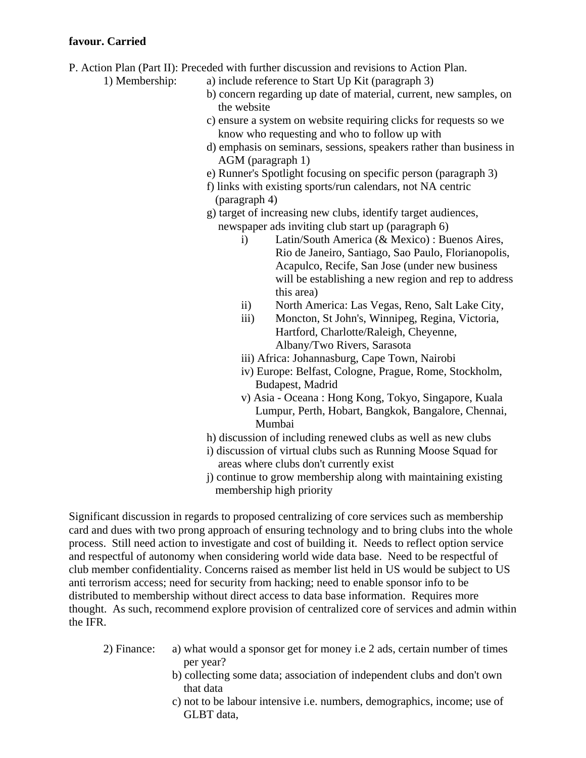#### **favour. Carried**

- P. Action Plan (Part II): Preceded with further discussion and revisions to Action Plan.
	-
	- 1) Membership: a) include reference to Start Up Kit (paragraph 3)
		- b) concern regarding up date of material, current, new samples, on the website
		- c) ensure a system on website requiring clicks for requests so we know who requesting and who to follow up with
		- d) emphasis on seminars, sessions, speakers rather than business in AGM (paragraph 1)
		- e) Runner's Spotlight focusing on specific person (paragraph 3)
		- f) links with existing sports/run calendars, not NA centric (paragraph 4)
		- g) target of increasing new clubs, identify target audiences, newspaper ads inviting club start up (paragraph 6)
			- i) Latin/South America (& Mexico) : Buenos Aires, Rio de Janeiro, Santiago, Sao Paulo, Florianopolis, Acapulco, Recife, San Jose (under new business will be establishing a new region and rep to address this area)
			- ii) North America: Las Vegas, Reno, Salt Lake City,
			- iii) Moncton, St John's, Winnipeg, Regina, Victoria, Hartford, Charlotte/Raleigh, Cheyenne, Albany/Two Rivers, Sarasota
			- iii) Africa: Johannasburg, Cape Town, Nairobi
			- iv) Europe: Belfast, Cologne, Prague, Rome, Stockholm, Budapest, Madrid
			- v) Asia Oceana : Hong Kong, Tokyo, Singapore, Kuala Lumpur, Perth, Hobart, Bangkok, Bangalore, Chennai, Mumbai
		- h) discussion of including renewed clubs as well as new clubs
		- i) discussion of virtual clubs such as Running Moose Squad for areas where clubs don't currently exist
		- j) continue to grow membership along with maintaining existing membership high priority

Significant discussion in regards to proposed centralizing of core services such as membership card and dues with two prong approach of ensuring technology and to bring clubs into the whole process. Still need action to investigate and cost of building it. Needs to reflect option service and respectful of autonomy when considering world wide data base. Need to be respectful of club member confidentiality. Concerns raised as member list held in US would be subject to US anti terrorism access; need for security from hacking; need to enable sponsor info to be distributed to membership without direct access to data base information. Requires more thought. As such, recommend explore provision of centralized core of services and admin within the IFR.

- 2) Finance: a) what would a sponsor get for money i.e 2 ads, certain number of times per year?
	- b) collecting some data; association of independent clubs and don't own that data
	- c) not to be labour intensive i.e. numbers, demographics, income; use of GLBT data,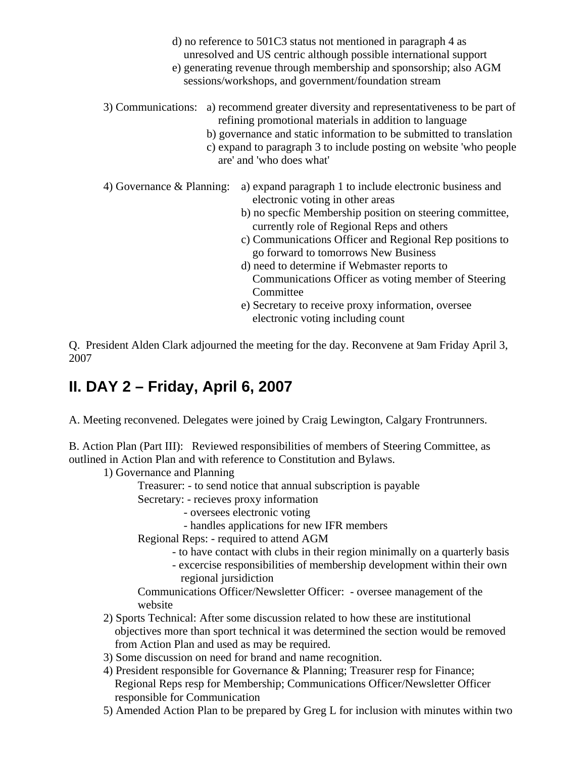- d) no reference to 501C3 status not mentioned in paragraph 4 as unresolved and US centric although possible international support
- e) generating revenue through membership and sponsorship; also AGM sessions/workshops, and government/foundation stream
- 3) Communications: a) recommend greater diversity and representativeness to be part of refining promotional materials in addition to language
	- b) governance and static information to be submitted to translation
	- c) expand to paragraph 3 to include posting on website 'who people are' and 'who does what'

 4) Governance & Planning: a) expand paragraph 1 to include electronic business and electronic voting in other areas

- b) no specfic Membership position on steering committee, currently role of Regional Reps and others
- c) Communications Officer and Regional Rep positions to go forward to tomorrows New Business
- d) need to determine if Webmaster reports to Communications Officer as voting member of Steering **Committee**
- e) Secretary to receive proxy information, oversee electronic voting including count

Q. President Alden Clark adjourned the meeting for the day. Reconvene at 9am Friday April 3, 2007

# **II. DAY 2 – Friday, April 6, 2007**

A. Meeting reconvened. Delegates were joined by Craig Lewington, Calgary Frontrunners.

B. Action Plan (Part III): Reviewed responsibilities of members of Steering Committee, as outlined in Action Plan and with reference to Constitution and Bylaws.

1) Governance and Planning

Treasurer: - to send notice that annual subscription is payable

Secretary: - recieves proxy information

- oversees electronic voting
- handles applications for new IFR members

Regional Reps: - required to attend AGM

- to have contact with clubs in their region minimally on a quarterly basis
- excercise responsibilities of membership development within their own regional jursidiction

 Communications Officer/Newsletter Officer: - oversee management of the website

- 2) Sports Technical: After some discussion related to how these are institutional objectives more than sport technical it was determined the section would be removed from Action Plan and used as may be required.
- 3) Some discussion on need for brand and name recognition.
- 4) President responsible for Governance & Planning; Treasurer resp for Finance; Regional Reps resp for Membership; Communications Officer/Newsletter Officer responsible for Communication
- 5) Amended Action Plan to be prepared by Greg L for inclusion with minutes within two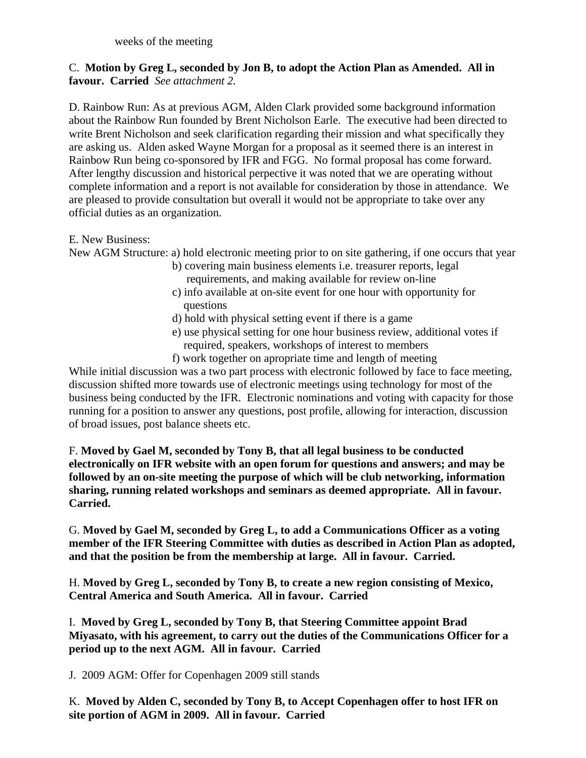weeks of the meeting

## C. **Motion by Greg L, seconded by Jon B, to adopt the Action Plan as Amended. All in favour. Carried** *See attachment 2.*

D. Rainbow Run: As at previous AGM, Alden Clark provided some background information about the Rainbow Run founded by Brent Nicholson Earle. The executive had been directed to write Brent Nicholson and seek clarification regarding their mission and what specifically they are asking us. Alden asked Wayne Morgan for a proposal as it seemed there is an interest in Rainbow Run being co-sponsored by IFR and FGG. No formal proposal has come forward. After lengthy discussion and historical perpective it was noted that we are operating without complete information and a report is not available for consideration by those in attendance. We are pleased to provide consultation but overall it would not be appropriate to take over any official duties as an organization.

E. New Business:

New AGM Structure: a) hold electronic meeting prior to on site gathering, if one occurs that year

- b) covering main business elements i.e. treasurer reports, legal requirements, and making available for review on-line
- c) info available at on-site event for one hour with opportunity for questions
- d) hold with physical setting event if there is a game
- e) use physical setting for one hour business review, additional votes if required, speakers, workshops of interest to members
- f) work together on apropriate time and length of meeting

While initial discussion was a two part process with electronic followed by face to face meeting, discussion shifted more towards use of electronic meetings using technology for most of the business being conducted by the IFR. Electronic nominations and voting with capacity for those running for a position to answer any questions, post profile, allowing for interaction, discussion of broad issues, post balance sheets etc.

F. **Moved by Gael M, seconded by Tony B, that all legal business to be conducted electronically on IFR website with an open forum for questions and answers; and may be followed by an on-site meeting the purpose of which will be club networking, information sharing, running related workshops and seminars as deemed appropriate. All in favour. Carried.** 

G. **Moved by Gael M, seconded by Greg L, to add a Communications Officer as a voting member of the IFR Steering Committee with duties as described in Action Plan as adopted, and that the position be from the membership at large. All in favour. Carried.**

H. **Moved by Greg L, seconded by Tony B, to create a new region consisting of Mexico, Central America and South America. All in favour. Carried**

I. **Moved by Greg L, seconded by Tony B, that Steering Committee appoint Brad Miyasato, with his agreement, to carry out the duties of the Communications Officer for a period up to the next AGM. All in favour. Carried** 

J. 2009 AGM: Offer for Copenhagen 2009 still stands

K. **Moved by Alden C, seconded by Tony B, to Accept Copenhagen offer to host IFR on site portion of AGM in 2009. All in favour. Carried**